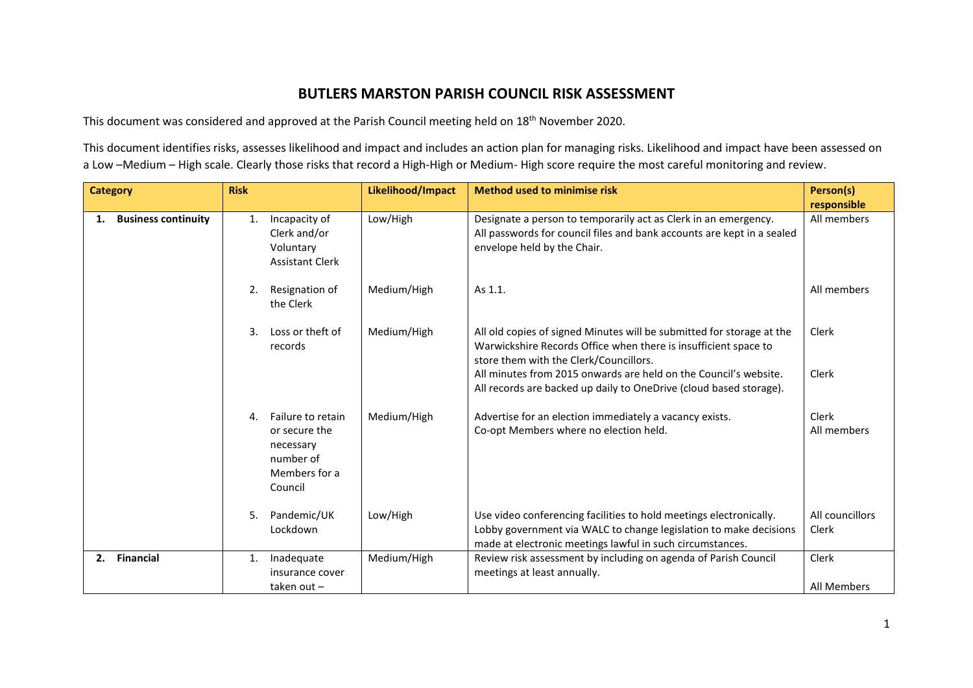## **BUTLERS MARSTON PARISH COUNCIL RISK ASSESSMENT**

This document was considered and approved at the Parish Council meeting held on 18<sup>th</sup> November 2020.

This document identifies risks, assesses likelihood and impact and includes an action plan for managing risks. Likelihood and impact have been assessed on a Low –Medium – High scale. Clearly those risks that record a High-High or Medium- High score require the most careful monitoring and review.

| <b>Category</b>                  | <b>Risk</b>                                                                                    | Likelihood/Impact | <b>Method used to minimise risk</b>                                                                                                                                                                  | Person(s)                |
|----------------------------------|------------------------------------------------------------------------------------------------|-------------------|------------------------------------------------------------------------------------------------------------------------------------------------------------------------------------------------------|--------------------------|
|                                  |                                                                                                |                   |                                                                                                                                                                                                      | responsible              |
| <b>Business continuity</b><br>1. | Incapacity of<br>1.<br>Clerk and/or<br>Voluntary<br><b>Assistant Clerk</b>                     | Low/High          | Designate a person to temporarily act as Clerk in an emergency.<br>All passwords for council files and bank accounts are kept in a sealed<br>envelope held by the Chair.                             | All members              |
|                                  | Resignation of<br>2.<br>the Clerk                                                              | Medium/High       | As 1.1.                                                                                                                                                                                              | All members              |
|                                  | 3.<br>Loss or theft of<br>records                                                              | Medium/High       | All old copies of signed Minutes will be submitted for storage at the<br>Warwickshire Records Office when there is insufficient space to<br>store them with the Clerk/Councillors.                   | Clerk                    |
|                                  |                                                                                                |                   | All minutes from 2015 onwards are held on the Council's website.<br>All records are backed up daily to OneDrive (cloud based storage).                                                               | Clerk                    |
|                                  | Failure to retain<br>4.<br>or secure the<br>necessary<br>number of<br>Members for a<br>Council | Medium/High       | Advertise for an election immediately a vacancy exists.<br>Co-opt Members where no election held.                                                                                                    | Clerk<br>All members     |
|                                  | 5.<br>Pandemic/UK<br>Lockdown                                                                  | Low/High          | Use video conferencing facilities to hold meetings electronically.<br>Lobby government via WALC to change legislation to make decisions<br>made at electronic meetings lawful in such circumstances. | All councillors<br>Clerk |
| <b>Financial</b><br>2.           | Inadequate<br>1.<br>insurance cover                                                            | Medium/High       | Review risk assessment by including on agenda of Parish Council<br>meetings at least annually.                                                                                                       | Clerk                    |
|                                  | taken out-                                                                                     |                   |                                                                                                                                                                                                      | All Members              |